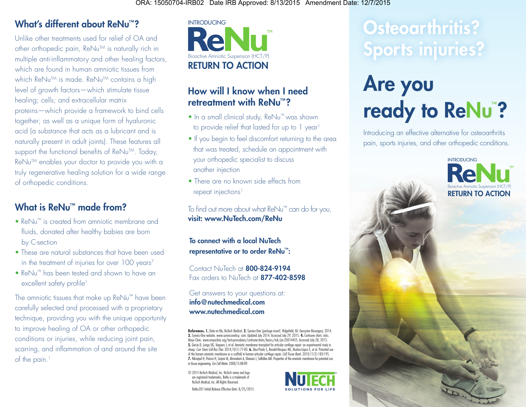## What's different about ReNu™?

Unlike other treatments used for relief of OA and other orthopedic pain, ReNu™ is naturally rich in multiple anti-inflammatory and other healing factors, which are found in human amniotic tissues from which ReNu<sup>TM</sup> is made. ReNu<sup>TM</sup> contains a high level of growth factors—which stimulate tissue healing; cells; and extracellular matrix proteins—which provide a framework to bind cells together; as well as a unique form of hyaluronic acid (a substance that acts as a lubricant and is naturally present in adult joints). These features all support the functional benefits of ReNu™. Today, ReNu™ enables your doctor to provide you with a truly regenerative healing solution for a wide range of orthopedic conditions.

## What is ReNu<sup>™</sup> made from?

- ReNu™ is created from amniotic membrane and fluids, donated after healthy babies are born by C-section
- These are natural substances that have been used in the treatment of injuries for over 100 years<sup>7</sup>
- ReNu™ has been tested and shown to have an excellent safety profile<sup>1</sup>

The amniotic tissues that make up ReNu™ have been carefully selected and processed with a proprietary technique, providing you with the unique opportunity to improve healing of OA or other orthopedic conditions or injuries, while reducing joint pain, scarring, and inflammation of and around the site of the pain.<sup>1</sup>



#### How will I know when I need retreatment with ReNu™?

- In a small clinical study, ReNu™ was shown to provide relief that lasted for up to 1 year<sup>1</sup>
- If you begin to feel discomfort returning to the area that was treated, schedule an appointment with your orthopedic specialist to discuss another injection
- There are no known side effects from repeat injections<sup>1</sup>

To find out more about what ReNu™ can do for you, visit: www.NuTech.com/ReNu

To connect with a local NuTech representative or to order ReNu™:

Fax orders to NuTech at 877-402-8598 Contact NuTech at 800-824-9194

Get answers to your questions at: info@nutechmedical.com www.nutechmedical.com

**References. 1.** Data on file, NuTech Medical. **2.** Synvisc-One [package insert]. Ridgefield, NJ: Genzyme Biosurgery; 2014.<br>**3.** Synvisc-One website. www.synvisconehcp. com. Updated July 2014. Accessed July 29, 2015. **4.** Mayo Clinic. www.mayodinic.org/testsprocedures/cortisoneshots/basics/risk/prc-20014455. Accessed July 28, 2015.<br>**5.** Garcia D, Longo UG, Vaquero J, et al. Annioinic membrane transplant for articular cartilage repair: an ex of the human amniotic membrane as a scaffold in human articular cartilage repair. *Cell Tissue Bank.* 2010;11(2):183-195.<br>**7.** Niknejad H, Peirovi H, Jorjani M, Ahmadiani A, Ghanavi J, Selfallan AM. Properties of the amnio in tissue engineering. *Eur Cell Mater.* 2008;15:88-89.

© 2015 NuTech Medical, Inc. NuTech name and logo are registered trademarks, ReNu is a trademark of NuTech Medical, Inc. All Rights Reserved.





## Osteoarthritis? Sports injuries?

# Are you ready to ReNu<sup>"?</sup>

Introducing an effective alternative for osteoarthritis pain, sports injuries, and other orthopedic conditions.